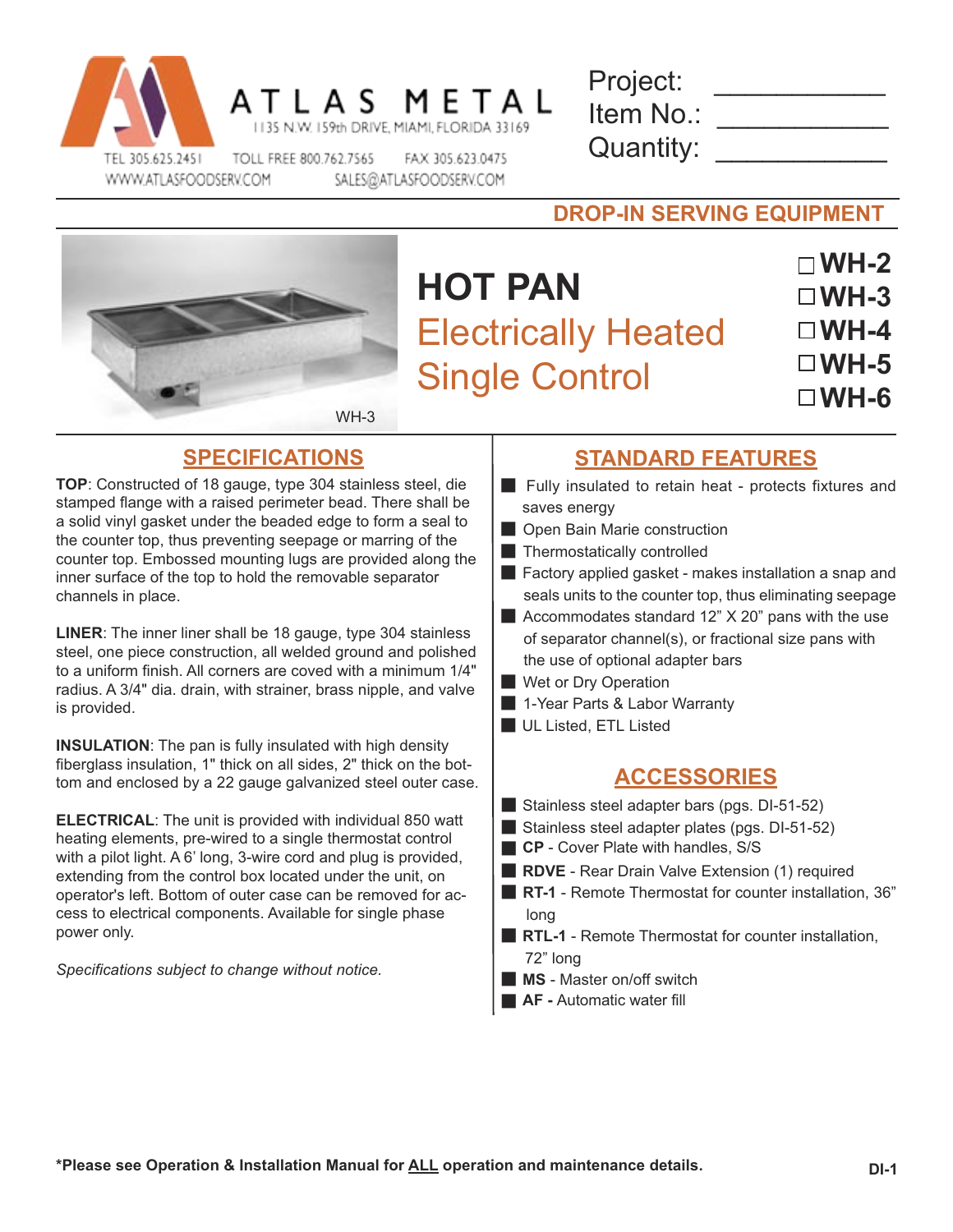

| Project:  |  |
|-----------|--|
| Item No.: |  |
| Quantity: |  |

WH-3

### **DROP-IN SERVING EQUIPMENT**

# **HOT PAN** Electrically Heated Single Control

**WH-2 WH-3 WH-4 WH-5 WH-6**

**TOP**: Constructed of 18 gauge, type 304 stainless steel, die stamped flange with a raised perimeter bead. There shall be a solid vinyl gasket under the beaded edge to form a seal to the counter top, thus preventing seepage or marring of the counter top. Embossed mounting lugs are provided along the inner surface of the top to hold the removable separator channels in place.

**LINER**: The inner liner shall be 18 gauge, type 304 stainless steel, one piece construction, all welded ground and polished to a uniform finish. All corners are coved with a minimum 1/4" radius. A 3/4" dia. drain, with strainer, brass nipple, and valve is provided.

**INSULATION**: The pan is fully insulated with high density fiberglass insulation, 1" thick on all sides, 2" thick on the bottom and enclosed by a 22 gauge galvanized steel outer case.

**ELECTRICAL**: The unit is provided with individual 850 watt heating elements, pre-wired to a single thermostat control with a pilot light. A 6' long, 3-wire cord and plug is provided, extending from the control box located under the unit, on operator's left. Bottom of outer case can be removed for access to electrical components. Available for single phase power only.

*Specifications subject to change without notice.*

## **SPECIFICATIONS STANDARD FEATURES**

- $\blacksquare$  Fully insulated to retain heat protects fixtures and saves energy
- **D** Open Bain Marie construction
- $\blacksquare$  Thermostatically controlled
- $\blacksquare$  Factory applied gasket makes installation a snap and seals units to the counter top, thus eliminating seepage
- Accommodates standard  $12$ "  $\times$  20" pans with the use of separator channel(s), or fractional size pans with the use of optional adapter bars
- **Wet or Dry Operation**
- **E** 1-Year Parts & Labor Warranty
- UL Listed, ETL Listed

#### **ACCESSORIES**

- Stainless steel adapter bars (pgs.  $DI-51-52$ )
- Stainless steel adapter plates (pgs.  $DI-51-52$ )
- **CP** Cover Plate with handles, S/S
- **RDVE** Rear Drain Valve Extension (1) required
- **RT-1** Remote Thermostat for counter installation, 36" long
- **RTL-1** Remote Thermostat for counter installation, 72" long
- **MS** Master on/off switch
- **AF Automatic water fill**